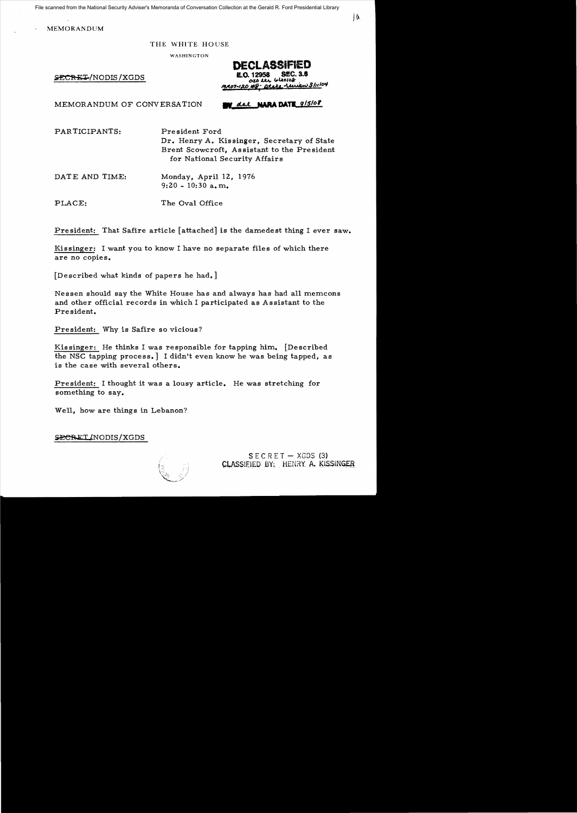File scanned from the National Security Adviser's Memoranda of Conversation Collection at the Gerald R. Ford Presidential Library

MEMORANDUM

THE WHITE HOUSE

WASHINGTON

SECRET/NODIS/XGDS

atate remien 3/11/04 101-120 ES

MEMORANDUM OF CONVERSATION **BOY dat NARA DATE** 9/5/08

PARTICIPANTS: Pre sident Ford

Dr. Henry A. Kissinger, Secretary of State Brent Scowcroft, Assistant to the President for National Security Affairs

DATE AND TIME: Monday, April 12, 1976  $9:20 - 10:30$  a.m.

PLACE: The Oval Office

President: That Safire article [attached] is the damedest thing I ever saw.

Kissinger: I want you to know I have no separate files of which there are no copies.

[Described what kinds of papers he had.]

Nessen should say the White House has and always has had all memcons and other official records in which I participated as Assistant to the President.

President: Why is Safire so vicious?

Kissinger: He thinks I was responsible for tapping him. [Described the NSC tapping process.] I didn't even know he was being tapped, as is the case with several others.

President: I thought it was a lousy article. He was stretching for something to say.

Well, how are things in Lebanon?

SECRET/NODIS/XGDS

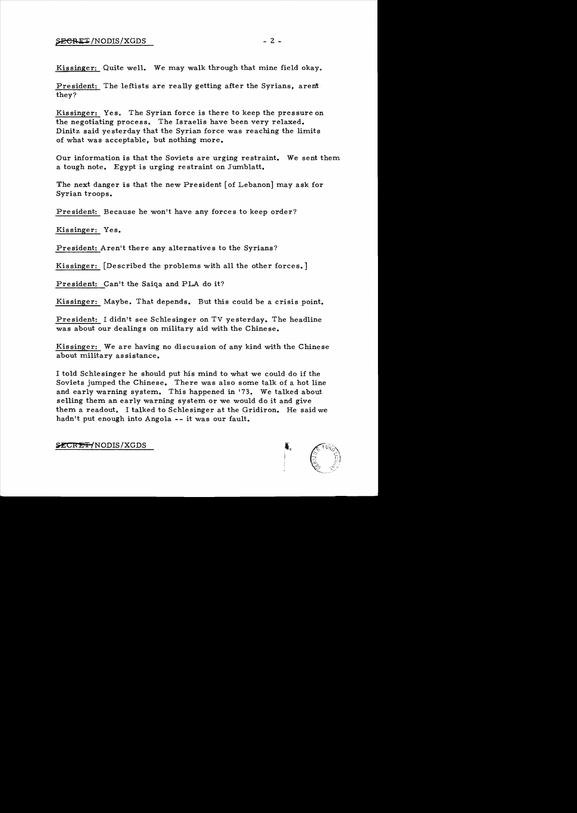# $S \to \text{C} R \to \text{NODIS}/XGDS$  - 2 -

Kissinger: Quite well. We may walk through that mine field okay.

President: The leftists are really getting after the Syrians, arent they?

Kissinger: Yes. The Syrian force is there to keep the pressure on the negotiating process. The Israelis have been very relaxed. Dinitz said yesterday that the Syrian force was reaching the limits of what was acceptable, but nothing more.

Our information is that the Soviets are urging restraint. We sent them a tough note. Egypt is urging restraint on Jumblatt.

The next danger is that the new President [of Lebanon] may ask for Syrian troops.

President: Because he won't have any forces to keep order?

Kissinger: Yes.

President: Aren't there any alternatives to the Syrians?

Kissinger: [Described the problems with all the other forces.]

President: Can't the Saiqa and PLA do it?

Kissinger: Maybe. That depends. But this could be a crisis point.

President: I didn't see Schlesinger on TV yesterday. The headline was about our dealings on military aid with the Chinese.

Kissinger: We are having no discussion of any kind with the Chinese about military assistance.

I told Schlesinger he should put his mind to what we could do if the Soviets jumped the Chinese. There was also some talk of a hot line and early warning system. This happened in '73. We talked about selling them an early warning system or we would do it and give them a readout. I talked to Schlesinger at the Gridiron. He said we hadn't put enough into Angola -- it was our fault.

SECRET/NODIS/XGDS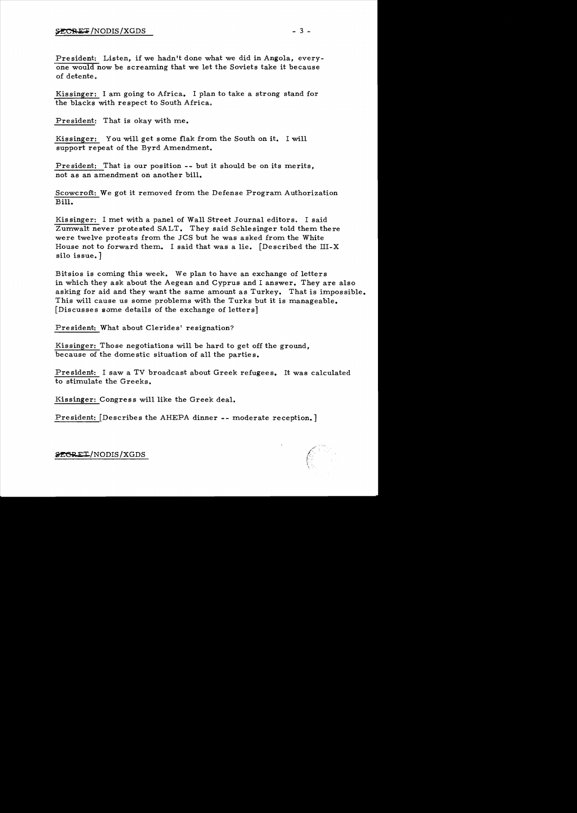President: Listen, if we hadn't done what we did in Angola, everyone would now be screaming that we let the Soviets take it because of detente.

Kissinger: I am going to Africa. I plan to take a strong stand for the blacks with respect to South Africa.

President: That is okay with me.

Kissinger: You will get some flak from the South on it. I will support repeat of the Byrd Amendment.

President: That is our position -- but it should be on its merits, not as an amendment on another bill.

Scowcroft: We got it removed from the Defense Program Authorization Bill.

Kis singer: I met with a panel of Wall Street Journal editors. I said Zumwalt never protested SALT. They said Schlesinger told them there were twelve protests from the JCS but he was asked from the White House not to forward them. I said that was a lie. [Described the III-X silo issue. ]

Bitsios is coming this week. We plan to have an exchange of letters in which they ask about the Aegean and Cyprus and I answer. They are also asking for aid and they want the same amount as Turkey. That is impossible. This will cause us some problems with the Turks but it is manageable. [Discusses some details of the exchange of letters]

President: What about Clerides' resignation?

Kissinger: Those negotiations will be hard to get off the ground, because of the domestic situation of all the parties.

President: I saw a TV broadcast about Greek refugees. It was calculated to stimulate the Greeks.

Kissinger: Congress will like the Greek deal.

President: [Describes the AHEPA dinner -- moderate reception.]

**&EGRET/NODIS/XGDS**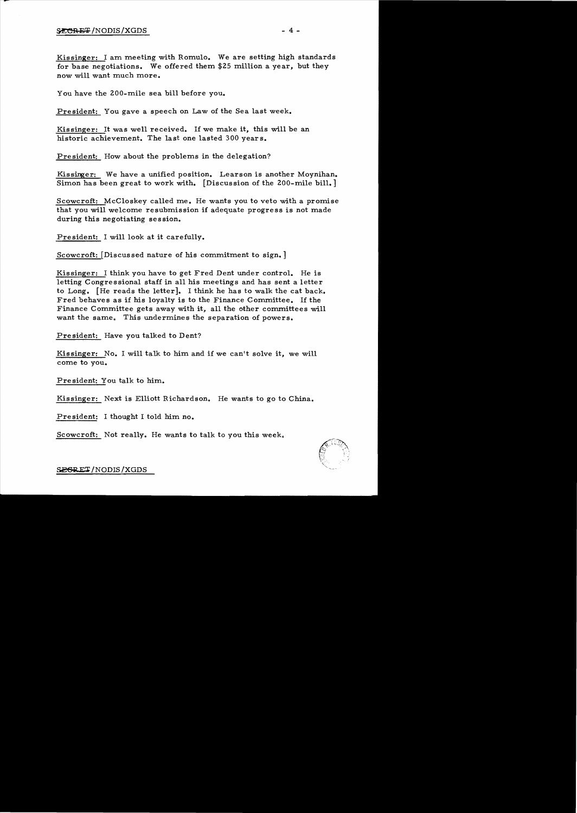Kissinger: I am meeting with Romulo. We are setting high standards for base negotiations. We offered them \$25 million a year, but they now will want much more.

You have the 200-mile sea bill before you.

President: You gave a speech on Law of the Sea last week.

Kissinger: It was well received. If we make it, this will be an historic achievement. The last one lasted 300 year s.

President: How about the problems in the delegation?

Kissinger: We have a unified position. Learson is another Moynihan. Simon has been great to work with. [Discussion of the 200-mile bill. ]

Scowcroft: McCloskey called me. He wants you to veto with a promise that you will welcome resubmission if adequate progress is not made during this negotiating session.

President: I will look at it carefully.

Scowcroft: [Discussed nature of his commitment to sign. ]

Kissinger: I think you have to get Fred Dent under control. He is letting Congressional staff in all his meetings and has sent a letter to Long. [He reads the letter]. I think he has to walk the cat back. Fred behaves as if his loyalty is to the Finance Committee. If the Finance Committee gets away with it, all the other committees will want the same. This undermines the separation of powers.

Pre sident: Have you talked to Dent?

Kissinger: No. I will talk to him and if we can't solve it, we will come to you.

Pre sident: You talk to him.

Kissinger: Next is Elliott Richardson. He wants to go to China.

President: I thought I told him no.

Scowcroft: Not really. He wants to talk to you this week.

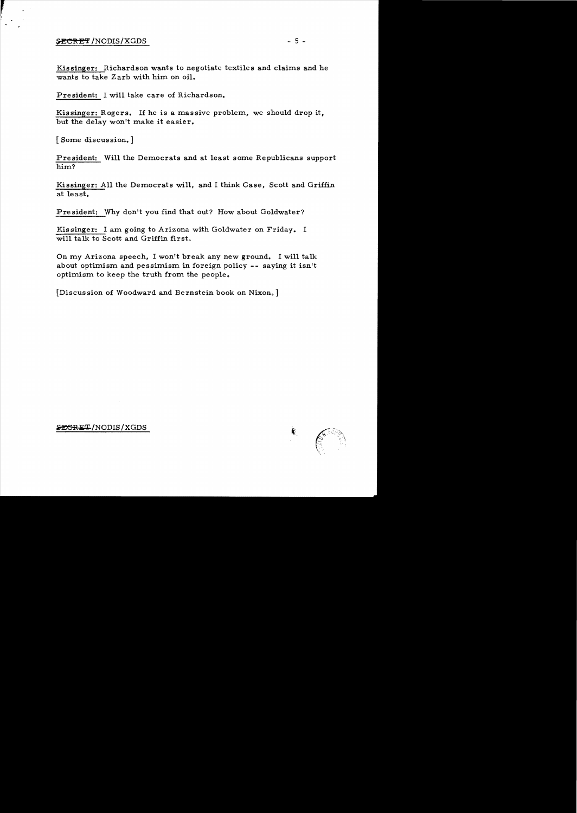## $\frac{1}{2}$  /NODIS/XGDS - 5 -

Kissinger: Richardson wants to negotiate textiles and claims and he wants to take Zarb with him on oil.

President: I will take care of Richardson.

Kissinger: Rogers. If he is a massive problem, we should drop it, but the delay won't make it easier.

[Some discussion.]

President: Will the Democrats and at least some Republicans support him?

Kissinger: All the Democrats will, and I think Case, Scott and Griffin at least.

President: Why don't you find that out? How about Goldwater?

Kis singer: I am going to Arizona with Goldwater on Friday. I will talk to Scott and Griffin first.

On my Arizona speech, I won't break any new ground. I will talk about optimism and pessimism in foreign policy -- saying it isn't optimism to keep the truth from the people.

[Discussion of Woodward and Bernstein book on Nixon.]

SEGRET/NODIS/XGDS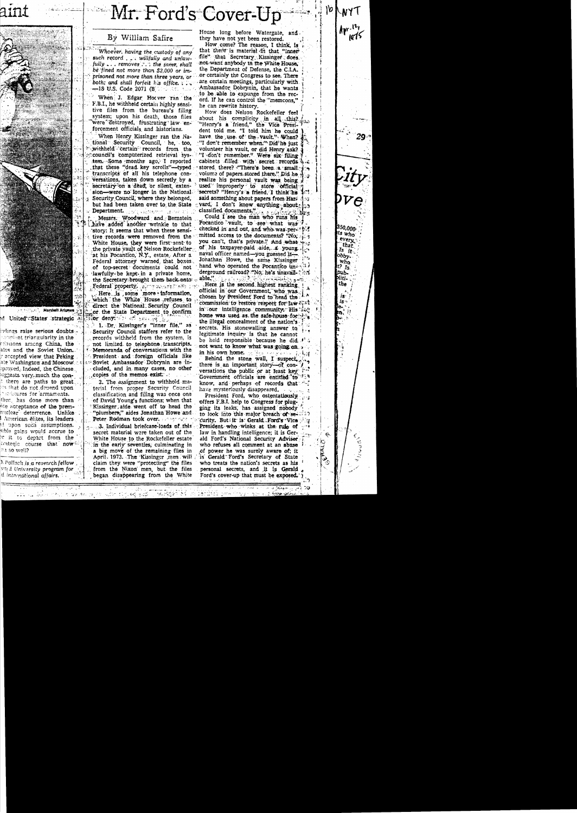# وأسماد فأبو e mando de

**PERSON Marshell Arismen** d United States strategic a

indings raise serious doubts. complent triangularity in the relations among China, the ates and the Soviet Union.  $\gamma$  accepted view that Peking ate Washington and Moscow. aproved, Indeed, the Chinese. uggests very, much the cont there are paths to great ins that do not devend upon **Conditures for armaments.** 

then, has done more than tice acceptance of the premnuclear deterrence. Unlike I American elites, its leaders td upon such assumptions. sible gains would accrue to it to depart from the trategic course that now na so well?

 $\lambda$  Pollack is a research fellow vard University program for d international affairs.

# By William Safire

Whoever, having the custody of any such record... willfully and unlawfully ... removes ... the same, shall be fined not more than \$2,000 or imprisoned not more than three years, or both: and shall forfeit his office.  $-18$  U.S. Code 2071 (B) and  $\sim$ 

When J. Edgar Hocver ran the F.B.I., he withheld certain highly sensitive files from the bureau's filing system; upon his death, those files were destroyed, frustrating law enforcement officials and historians.

When Henry Kissinger ran the National Security Council, he, too, withheld certain records from the council's computerized retrieval system. Some months ago. I reported that these "dead key scrolls"-typed transcripts of all his telephone conversations, taken down secretly by a secretary on a dead, or silent, extension-were no longer in the National. Security Council, where they belonged, but had been taken over to the State Department. The Contractor Carrier and Line

Messrs. Woodward and Bernstein have added another wrinkle to that story: It seems that when these sensitive records were removed from the White House, they were first sent to the private vault of Nelson Rockefeller at his Pocantico, N.Y., estate. After a Federal attorney warned that boxes. of top-secret documents could not lawfully be kept in a private home, the Secretary brought them back onto a Federal property. A comparation of the state Here is some more information,<br>which the White House refuses to<br>direct the National Security Council or the State Department to confirm for deny with an an in

1. Dr. Kissinger's "inner file," as Security Council staffers refer to the records withheld from the system, is not limited to telephone transcripts. Memoranda of conversations with the President and foreign officials like Soviet Ambassador Dobrynin are included, and in many cases, no other copies of the memos exist.

2. The assignment to withhold material from proper Security Council classification and filing was once one of David Young's functions; when that Kissinger aide went off to head the "plumbers," aides Jonathan 'Howe and Peter Rodman took over.

3. Individual briefcase-loads of this secret material were taken out of the White House to the Rockefeller estate in the early seventies, culminating in a big move of the remaining files in April 1973. The Kissinger men will claim they were "protecting" the files from the Nixon men, but the files began disappearing from the White

House long before Watergate, and they have not yet been restored.

 $\mathbf{b}$ 

350.000-

is who

every

that

 $I_5$  it.

obby.

who

t? Is.

Dub-

Niti-

 $the$ 

is is-

¢.

ю,

 $\ddot{\bm{\psi}}$ 

Mr. Ford's Cover-Up

How come? The reason, I think, is that there is material in that "inner" file" that Secretary Kissinger does. not want anybody in the White House, the Department of Defense, the C.I.A. or certainly the Congress to see. There are certain meetings, particularly with Ambassador Dobrynin, that he wants to be able to expunse from the record. If he can control the "memcons." he can rewrite history.

How does Nelson Rockefeller feel about his complicity in all this? "Henry's a friend," the Vice President told me. "I told him he could have the use of the vault." When? "I don't remember when." Did he just ? volunteer his vault, or did Henry ask? "I don't remember." Were six filing cabinets filled with secret records i.e stored there? "There's been a small fr volume of papers stored there." Did he a realize his personal vault was being used improperly to store official secrets? "Henry's a friend. I think he said something about papers from Hari vard, I don't know anything about.

Could I see the man who runs his Pocantico vault, to see what was checked in and out, and who was permitted access to the documents? "No, 44 you can't, that's private." And what you of his taxpayer-paid aide, a young les naval officer named-you guessed it-'n. Jonathan Howe, the same Kissinger hand who operated the Pocantico underground railroad? "No, he's unavail- ? en DA STATISTICS OF THE STATISTICS OF THE SAME OF THE SAME OF THE SAME OF THE SAME OF THE SAME OF THE SAME OF THE able."

Here is the second highest ranking official in our Government, who was chosen by President Ford to head the commission to restore respect for law test in our intelligence community. His tas home was used as the safe-house for y w the illegal concealment of the nation's. secrets. His stonewalling answer to legitimate inquiry is that he cannot be held responsible because he did J' . not want to know what was going on in his own home. The traction is left

Behind the stone wall, I suspect, there is an important story-of con-7 versations the public or at least key Government officials are entitled to 1.8 know, and perhaps of records that have mysteriously disappeared.

President Ford, who ostentatiously offers F.B.I. help to Congress for plug-<br>ging its leaks, has assigned nobody to look into this major breach of security. But it is Gerald Ford's Vice President who winks at the rule of law in handling intelligence; it is Gerald Ford's National Security Adviser who refuses all comment at an abuse of power he was surely aware of; it is Gerald Ford's Secretary of State who treats the nation's secrets as his personal secrets, and it is Gerald, Ford's cover-up that must be exposed.')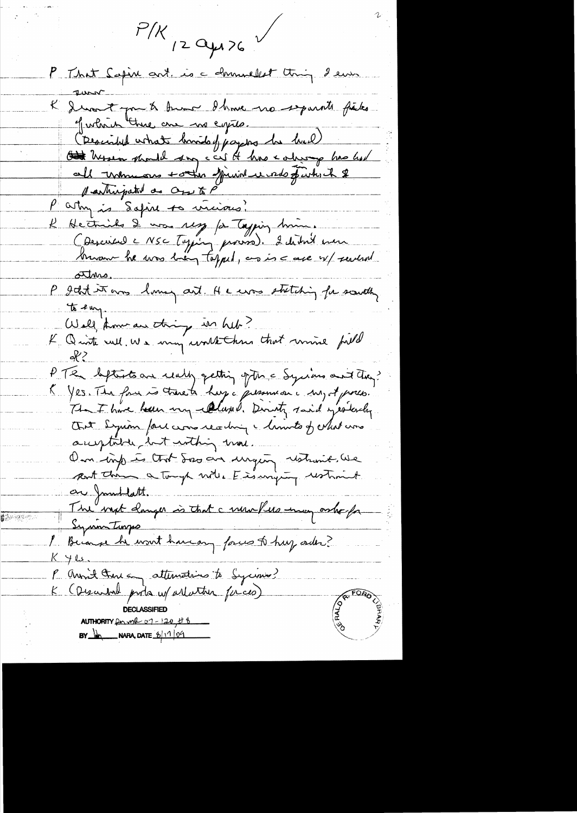$P/K$  12 apr 76 P That Sopin art. is a dominablet thing I even K I want you & burne I knee no separate faites Mortin there are no copies. (Described what buridof papers he had) Out hissen should say can't has a short has had Harthupated as Os to P Party is Safire to vicious? K Hectricho & was seg for Tapping him. (Described c NSC Topping process). I datail mon brown he was big topped, as is a see w/ several artins. P get it are long art. He was statching for southy  $\frac{464m}{\pi}$ . Well, know are thing in her?<br>4. Quite rull, We may world than that mine field PTE deptists are really getting of the a Syrians and they?<br>KYes. The face is true to help a presence on my of proces. acceptable, but within more. On imp à tout dans au ungen restrait. We port this a tough will Eisangung wstront on Junibatt. The wast danger is that a near files may onlie for Symmitings P Brand hi won't have any forces to hay order?  $K\neq\omega$ P Avoirt Cherc any attentions to Syciales) **SEALD CABB** AUTHORITY  $Q_1 \sim 120 + 120 + 6$ <br>BY  $\frac{11}{20}$  NARA, DATE  $6/17/09$ 

博物理理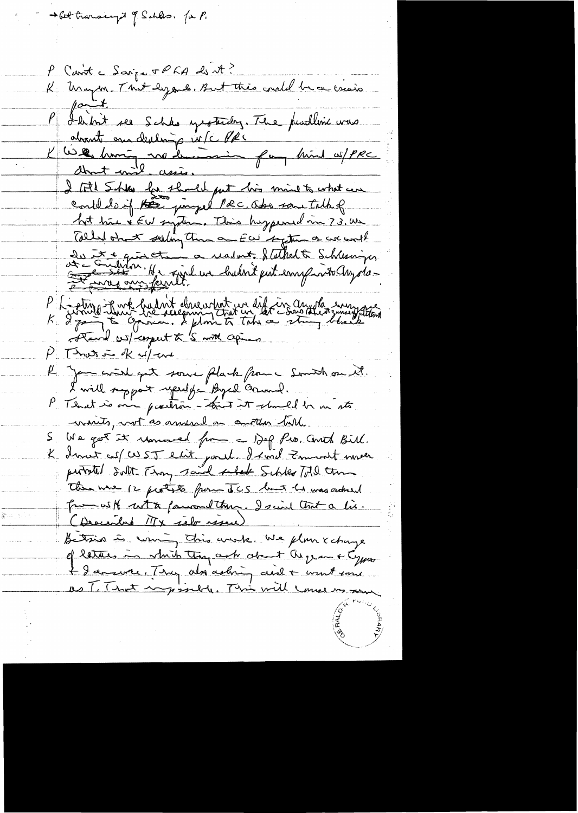Sol transient of Schles. for P.

P Carit c Sarge TP 6A des A? K Unigon That dy and But this could be a crisis I le brit ree Schles yesterday. The purellist was K Will homme no demand for hind of PRC I til Shke for thanks put his mind to what can could long the jumped PRC. adre some talk of hot trûe & EW septem. This hoppened in 73.00 Collect seeling than an ECU suggetion or we would de Fridrich. He signed un hudset d'athet à Schlesniger.<br>De Endison. He signe un hudset put emplaite Angola-Philippine de budn't douartent un did in any de mongolitant stand us/corput to 's with agency  $P$   $T$  has in R w/ and 4 Jam wird get some plack from a Somith on it. I will support repealthe Byck Comment. P. That is one partion - that it whened be on to mints, not as annual on conten bill. We get it rememed from a Dep Pro. Cents Birl.  ${\sf S}_{\perp}$  . K I wit as ( UST let's point. I know Zemmont imper The was 12 protected from TCS but he was actual from with forward there. I said that a live. (Descended MX selv issue) Betsin is whing this work. We plan x change of latters in which they ask about as grow & Cypro-+ I amente. They also asking did + won't some as T. That upside This will conserve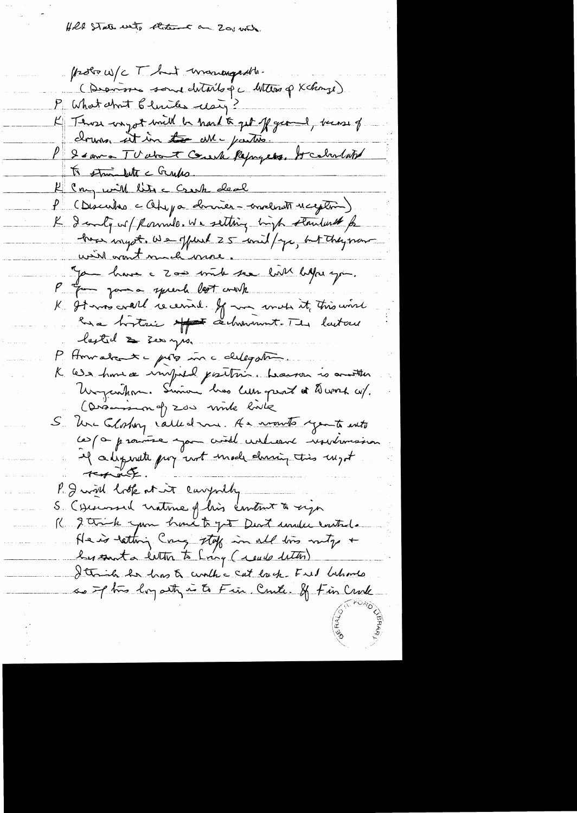Hold State with state on Zou with.

probo w/c T but warrangedth. (Desvisse sous details que letters q Xchange) P What about 6 limites clay? K Those comport with be hard to get off grown, because of druns it in the all - partie. P 2000 - TV about Couch Repages. Hautakt K stranbett c Grups. K Cong with lite a Crash clear P (Disculas cahipa donnéer-oncloret magtin). K I auty not pourrule. We setting imp standard from wird want much more. Jam have a 200 mil ser litt hope you. P gama sprenk lest work K étans creel recevail. Je une mote it tris unit lasted & see you. P. Hourabout - provo un c clubgation. K We have a impied position. La maria is anotten (Discussion of Zow wink livie S. Une Closhong valled me. As monto you to ento ces (a promise you civil unheast resolution If adequate prop not under during this ungot testal P. I will look at it carywhy S. Observant cratine of his contract to right R & think you have to get Deat under control. He is tatting Carry stop in all line mity + his sunt a litter to Long (reads litter) Ittrich her has a worth a cat lack . Full behave as I tris loyath in to Fin. Crute. If Fin Cruk